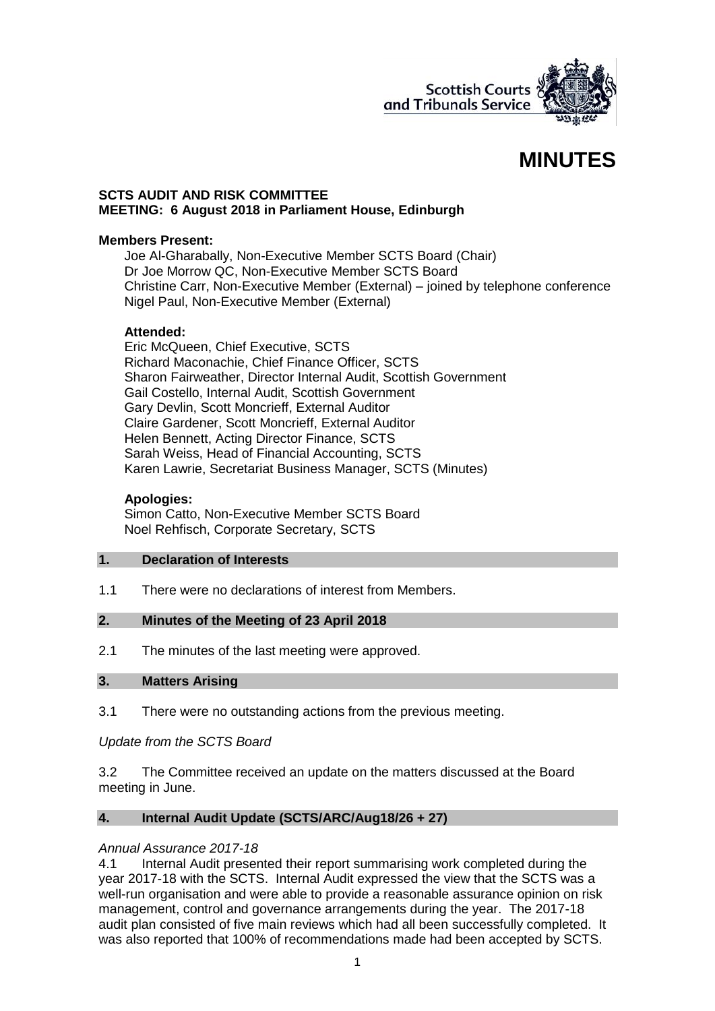

# **MINUTES**

## **SCTS AUDIT AND RISK COMMITTEE MEETING: 6 August 2018 in Parliament House, Edinburgh**

## **Members Present:**

Joe Al-Gharabally, Non-Executive Member SCTS Board (Chair) Dr Joe Morrow QC, Non-Executive Member SCTS Board Christine Carr, Non-Executive Member (External) – joined by telephone conference Nigel Paul, Non-Executive Member (External)

## **Attended:**

Eric McQueen, Chief Executive, SCTS Richard Maconachie, Chief Finance Officer, SCTS Sharon Fairweather, Director Internal Audit, Scottish Government Gail Costello, Internal Audit, Scottish Government Gary Devlin, Scott Moncrieff, External Auditor Claire Gardener, Scott Moncrieff, External Auditor Helen Bennett, Acting Director Finance, SCTS Sarah Weiss, Head of Financial Accounting, SCTS Karen Lawrie, Secretariat Business Manager, SCTS (Minutes)

## **Apologies:**

Simon Catto, Non-Executive Member SCTS Board Noel Rehfisch, Corporate Secretary, SCTS

## **1. Declaration of Interests**

1.1 There were no declarations of interest from Members.

## **2. Minutes of the Meeting of 23 April 2018**

2.1 The minutes of the last meeting were approved.

#### **3. Matters Arising**

3.1 There were no outstanding actions from the previous meeting.

## *Update from the SCTS Board*

3.2 The Committee received an update on the matters discussed at the Board meeting in June.

## **4. Internal Audit Update (SCTS/ARC/Aug18/26 + 27)**

#### *Annual Assurance 2017-18*

4.1 Internal Audit presented their report summarising work completed during the year 2017-18 with the SCTS. Internal Audit expressed the view that the SCTS was a well-run organisation and were able to provide a reasonable assurance opinion on risk management, control and governance arrangements during the year. The 2017-18 audit plan consisted of five main reviews which had all been successfully completed. It was also reported that 100% of recommendations made had been accepted by SCTS.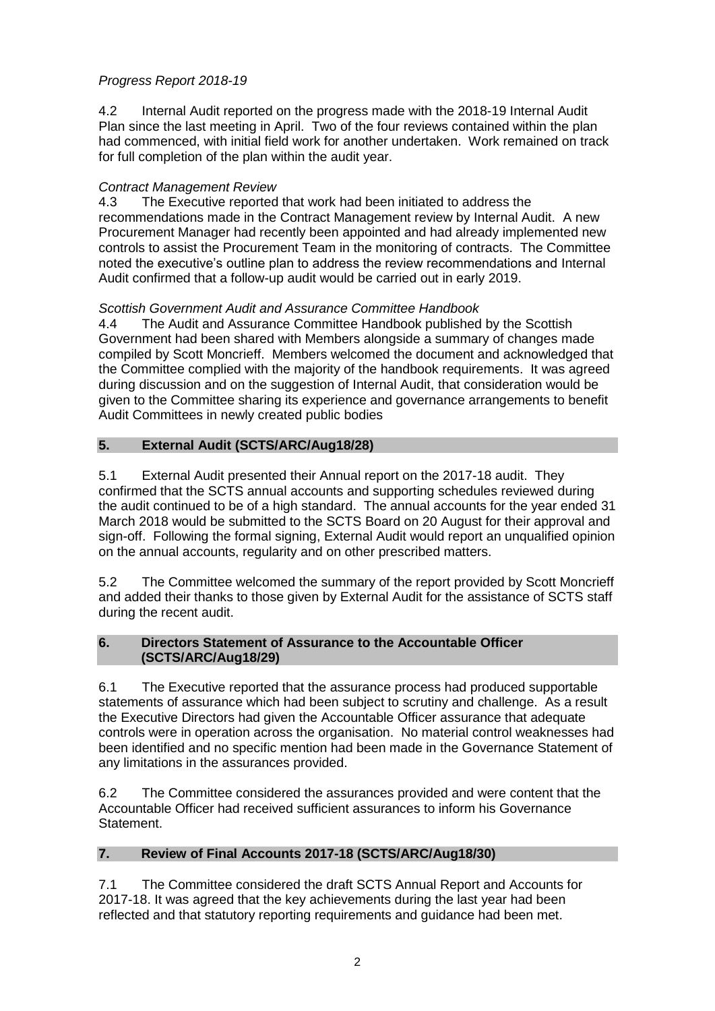# *Progress Report 2018-19*

4.2 Internal Audit reported on the progress made with the 2018-19 Internal Audit Plan since the last meeting in April. Two of the four reviews contained within the plan had commenced, with initial field work for another undertaken. Work remained on track for full completion of the plan within the audit year.

# *Contract Management Review*

4.3 The Executive reported that work had been initiated to address the recommendations made in the Contract Management review by Internal Audit. A new Procurement Manager had recently been appointed and had already implemented new controls to assist the Procurement Team in the monitoring of contracts. The Committee noted the executive's outline plan to address the review recommendations and Internal Audit confirmed that a follow-up audit would be carried out in early 2019.

# *Scottish Government Audit and Assurance Committee Handbook*

4.4 The Audit and Assurance Committee Handbook published by the Scottish Government had been shared with Members alongside a summary of changes made compiled by Scott Moncrieff. Members welcomed the document and acknowledged that the Committee complied with the majority of the handbook requirements. It was agreed during discussion and on the suggestion of Internal Audit, that consideration would be given to the Committee sharing its experience and governance arrangements to benefit Audit Committees in newly created public bodies

# **5. External Audit (SCTS/ARC/Aug18/28)**

5.1 External Audit presented their Annual report on the 2017-18 audit. They confirmed that the SCTS annual accounts and supporting schedules reviewed during the audit continued to be of a high standard. The annual accounts for the year ended 31 March 2018 would be submitted to the SCTS Board on 20 August for their approval and sign-off. Following the formal signing, External Audit would report an unqualified opinion on the annual accounts, regularity and on other prescribed matters.

5.2 The Committee welcomed the summary of the report provided by Scott Moncrieff and added their thanks to those given by External Audit for the assistance of SCTS staff during the recent audit.

## **6. Directors Statement of Assurance to the Accountable Officer (SCTS/ARC/Aug18/29)**

6.1 The Executive reported that the assurance process had produced supportable statements of assurance which had been subject to scrutiny and challenge. As a result the Executive Directors had given the Accountable Officer assurance that adequate controls were in operation across the organisation. No material control weaknesses had been identified and no specific mention had been made in the Governance Statement of any limitations in the assurances provided.

6.2 The Committee considered the assurances provided and were content that the Accountable Officer had received sufficient assurances to inform his Governance Statement.

# **7. Review of Final Accounts 2017-18 (SCTS/ARC/Aug18/30)**

7.1 The Committee considered the draft SCTS Annual Report and Accounts for 2017-18. It was agreed that the key achievements during the last year had been reflected and that statutory reporting requirements and guidance had been met.